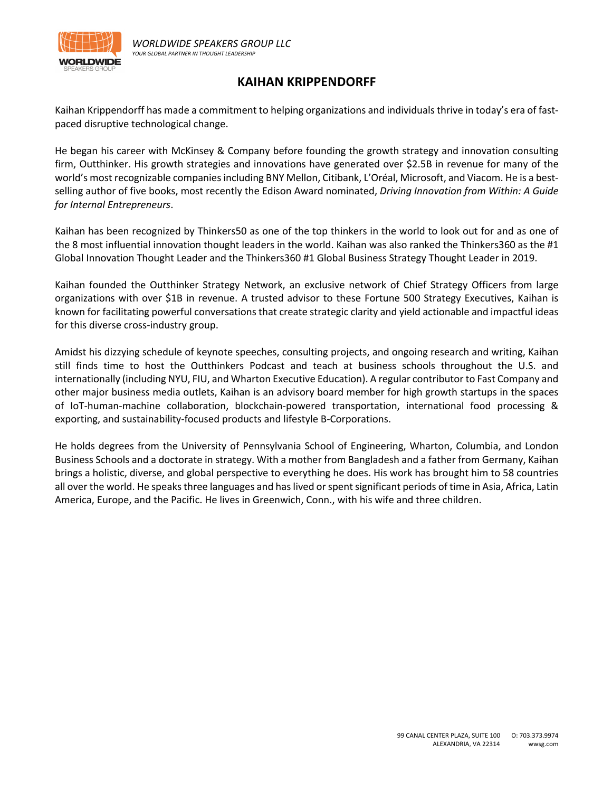

## **KAIHAN KRIPPENDORFF**

Kaihan Krippendorff has made a commitment to helping organizations and individuals thrive in today's era of fastpaced disruptive technological change.

He began his career with McKinsey & Company before founding the growth strategy and innovation consulting firm, Outthinker. His growth strategies and innovations have generated over \$2.5B in revenue for many of the world's most recognizable companies including BNY Mellon, Citibank, L'Oréal, Microsoft, and Viacom. He is a bestselling author of five books, most recently the Edison Award nominated, *Driving Innovation from Within: A Guide for Internal Entrepreneurs*.

Kaihan has been recognized by Thinkers50 as one of the top thinkers in the world to look out for and as one of the 8 most influential innovation thought leaders in the world. Kaihan was also ranked the Thinkers360 as the #1 Global Innovation Thought Leader and the Thinkers360 #1 Global Business Strategy Thought Leader in 2019.

Kaihan founded the Outthinker Strategy Network, an exclusive network of Chief Strategy Officers from large organizations with over \$1B in revenue. A trusted advisor to these Fortune 500 Strategy Executives, Kaihan is known for facilitating powerful conversations that create strategic clarity and yield actionable and impactful ideas for this diverse cross-industry group.

Amidst his dizzying schedule of keynote speeches, consulting projects, and ongoing research and writing, Kaihan still finds time to host the Outthinkers Podcast and teach at business schools throughout the U.S. and internationally (including NYU, FIU, and Wharton Executive Education). A regular contributor to Fast Company and other major business media outlets, Kaihan is an advisory board member for high growth startups in the spaces of IoT-human-machine collaboration, blockchain-powered transportation, international food processing & exporting, and sustainability-focused products and lifestyle B-Corporations.

He holds degrees from the University of Pennsylvania School of Engineering, Wharton, Columbia, and London Business Schools and a doctorate in strategy. With a mother from Bangladesh and a father from Germany, Kaihan brings a holistic, diverse, and global perspective to everything he does. His work has brought him to 58 countries all over the world. He speaks three languages and has lived or spent significant periods of time in Asia, Africa, Latin America, Europe, and the Pacific. He lives in Greenwich, Conn., with his wife and three children.